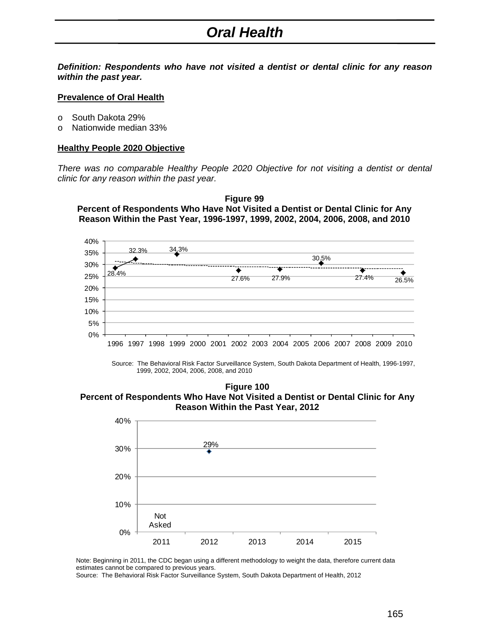# *Oral Health*

*Definition: Respondents who have not visited a dentist or dental clinic for any reason within the past year.* 

#### **Prevalence of Oral Health**

- o South Dakota 29%
- o Nationwide median 33%

#### **Healthy People 2020 Objective**

*There was no comparable Healthy People 2020 Objective for not visiting a dentist or dental clinic for any reason within the past year.* 





Source: The Behavioral Risk Factor Surveillance System, South Dakota Department of Health, 1996-1997, 1999, 2002, 2004, 2006, 2008, and 2010

**Figure 100 Percent of Respondents Who Have Not Visited a Dentist or Dental Clinic for Any Reason Within the Past Year, 2012**



Note: Beginning in 2011, the CDC began using a different methodology to weight the data, therefore current data estimates cannot be compared to previous years.

Source: The Behavioral Risk Factor Surveillance System, South Dakota Department of Health, 2012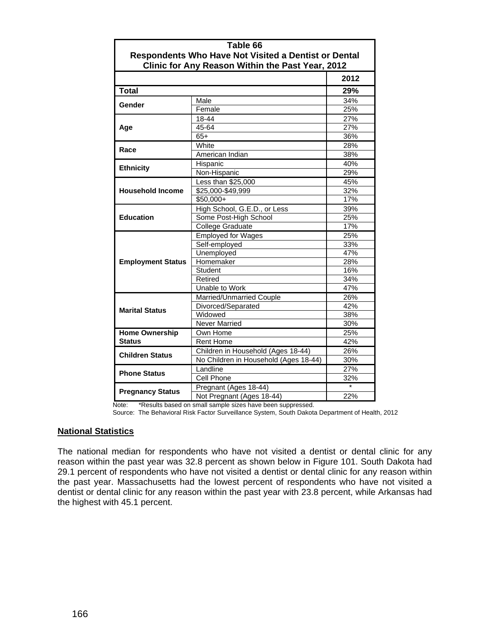| Table 66                                                                                                        |                                       |      |  |
|-----------------------------------------------------------------------------------------------------------------|---------------------------------------|------|--|
| <b>Respondents Who Have Not Visited a Dentist or Dental</b><br>Clinic for Any Reason Within the Past Year, 2012 |                                       |      |  |
|                                                                                                                 |                                       | 2012 |  |
|                                                                                                                 |                                       |      |  |
| <b>Total</b>                                                                                                    |                                       | 29%  |  |
| Gender                                                                                                          | Male                                  | 34%  |  |
|                                                                                                                 | Female                                | 25%  |  |
| Age                                                                                                             | 18-44                                 | 27%  |  |
|                                                                                                                 | 45-64                                 | 27%  |  |
|                                                                                                                 | $65+$                                 | 36%  |  |
|                                                                                                                 | White                                 | 28%  |  |
| Race                                                                                                            | American Indian                       | 38%  |  |
| <b>Ethnicity</b>                                                                                                | Hispanic                              | 40%  |  |
|                                                                                                                 | Non-Hispanic                          | 29%  |  |
|                                                                                                                 | Less than \$25,000                    | 45%  |  |
| <b>Household Income</b>                                                                                         | \$25,000-\$49,999                     | 32%  |  |
|                                                                                                                 | \$50,000+                             | 17%  |  |
|                                                                                                                 | High School, G.E.D., or Less          | 39%  |  |
| <b>Education</b>                                                                                                | Some Post-High School                 | 25%  |  |
|                                                                                                                 | College Graduate                      | 17%  |  |
|                                                                                                                 | <b>Employed for Wages</b>             | 25%  |  |
|                                                                                                                 | Self-employed                         | 33%  |  |
|                                                                                                                 | Unemployed                            | 47%  |  |
| <b>Employment Status</b>                                                                                        | Homemaker                             | 28%  |  |
|                                                                                                                 | Student                               | 16%  |  |
|                                                                                                                 | Retired                               | 34%  |  |
|                                                                                                                 | Unable to Work                        | 47%  |  |
|                                                                                                                 | Married/Unmarried Couple              | 26%  |  |
| <b>Marital Status</b>                                                                                           | Divorced/Separated                    | 42%  |  |
|                                                                                                                 | Widowed                               | 38%  |  |
|                                                                                                                 | <b>Never Married</b>                  | 30%  |  |
| <b>Home Ownership</b>                                                                                           | Own Home                              | 25%  |  |
| <b>Status</b>                                                                                                   | Rent Home                             | 42%  |  |
| <b>Children Status</b>                                                                                          | Children in Household (Ages 18-44)    | 26%  |  |
|                                                                                                                 | No Children in Household (Ages 18-44) | 30%  |  |
| <b>Phone Status</b>                                                                                             | Landline                              | 27%  |  |
|                                                                                                                 | Cell Phone                            | 32%  |  |
| <b>Pregnancy Status</b>                                                                                         | Pregnant (Ages 18-44)                 |      |  |
|                                                                                                                 | Not Pregnant (Ages 18-44)             | 22%  |  |

Note: \*Results based on small sample sizes have been suppressed.

Source: The Behavioral Risk Factor Surveillance System, South Dakota Department of Health, 2012

### **National Statistics**

The national median for respondents who have not visited a dentist or dental clinic for any reason within the past year was 32.8 percent as shown below in Figure 101. South Dakota had 29.1 percent of respondents who have not visited a dentist or dental clinic for any reason within the past year. Massachusetts had the lowest percent of respondents who have not visited a dentist or dental clinic for any reason within the past year with 23.8 percent, while Arkansas had the highest with 45.1 percent.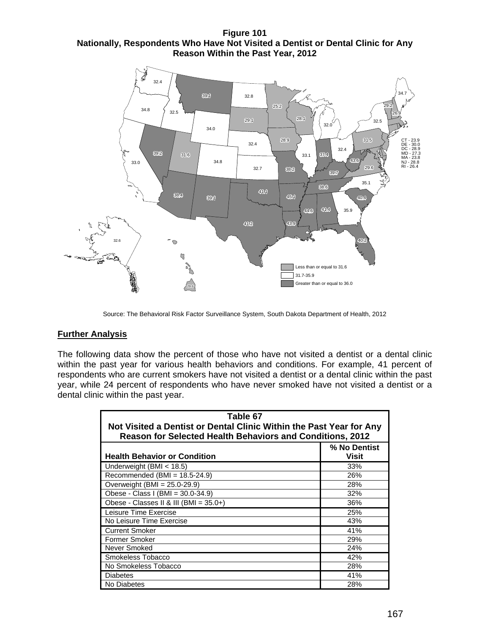**Figure 101 Nationally, Respondents Who Have Not Visited a Dentist or Dental Clinic for Any Reason Within the Past Year, 2012** 



Source: The Behavioral Risk Factor Surveillance System, South Dakota Department of Health, 2012

## **Further Analysis**

The following data show the percent of those who have not visited a dentist or a dental clinic within the past year for various health behaviors and conditions. For example, 41 percent of respondents who are current smokers have not visited a dentist or a dental clinic within the past year, while 24 percent of respondents who have never smoked have not visited a dentist or a dental clinic within the past year.

| Table 67                                                                                                                                |                              |  |  |
|-----------------------------------------------------------------------------------------------------------------------------------------|------------------------------|--|--|
| Not Visited a Dentist or Dental Clinic Within the Past Year for Any<br><b>Reason for Selected Health Behaviors and Conditions, 2012</b> |                              |  |  |
| <b>Health Behavior or Condition</b>                                                                                                     | % No Dentist<br><b>Visit</b> |  |  |
| Underweight (BMI $<$ 18.5)                                                                                                              | 33%                          |  |  |
| Recommended (BMI = 18.5-24.9)                                                                                                           | 26%                          |  |  |
| Overweight (BMI = $25.0 - 29.9$ )                                                                                                       | 28%                          |  |  |
| Obese - Class I (BMI = 30.0-34.9)                                                                                                       | 32%                          |  |  |
| Obese - Classes II & III (BMI = 35.0+)                                                                                                  | 36%                          |  |  |
| Leisure Time Exercise                                                                                                                   | 25%                          |  |  |
| No Leisure Time Exercise                                                                                                                | 43%                          |  |  |
| <b>Current Smoker</b>                                                                                                                   | 41%                          |  |  |
| <b>Former Smoker</b>                                                                                                                    | 29%                          |  |  |
| Never Smoked                                                                                                                            | 24%                          |  |  |
| Smokeless Tobacco                                                                                                                       | 42%                          |  |  |
| No Smokeless Tobacco                                                                                                                    | 28%                          |  |  |
| <b>Diabetes</b>                                                                                                                         | 41%                          |  |  |
| No Diabetes                                                                                                                             | 28%                          |  |  |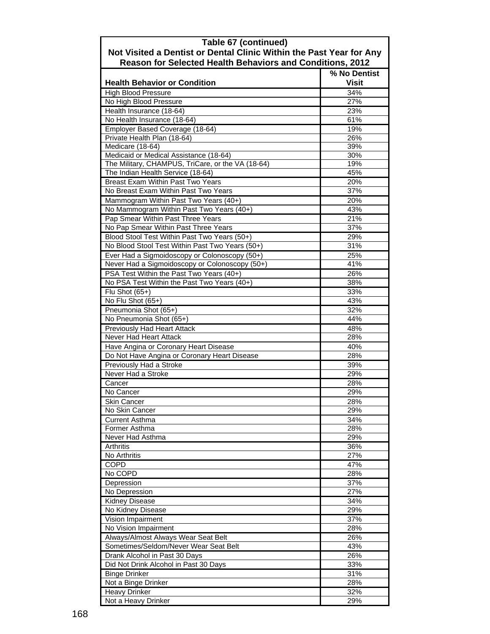| Table 67 (continued)<br>Not Visited a Dentist or Dental Clinic Within the Past Year for Any     |                              |  |
|-------------------------------------------------------------------------------------------------|------------------------------|--|
| <b>Reason for Selected Health Behaviors and Conditions, 2012</b>                                |                              |  |
| <b>Health Behavior or Condition</b>                                                             | % No Dentist<br><b>Visit</b> |  |
| <b>High Blood Pressure</b>                                                                      | 34%                          |  |
| No High Blood Pressure                                                                          | 27%                          |  |
| Health Insurance (18-64)                                                                        | 23%                          |  |
| No Health Insurance (18-64)                                                                     | 61%                          |  |
| Employer Based Coverage (18-64)                                                                 | 19%                          |  |
| Private Health Plan (18-64)                                                                     | 26%                          |  |
| Medicare (18-64)                                                                                | 39%                          |  |
| Medicaid or Medical Assistance (18-64)                                                          | 30%                          |  |
| The Military, CHAMPUS, TriCare, or the VA (18-64)                                               | 19%                          |  |
| The Indian Health Service (18-64)                                                               | 45%                          |  |
| <b>Breast Exam Within Past Two Years</b>                                                        | 20%                          |  |
| No Breast Exam Within Past Two Years                                                            | 37%                          |  |
| Mammogram Within Past Two Years (40+)                                                           | 20%                          |  |
| No Mammogram Within Past Two Years (40+)                                                        | 43%                          |  |
| Pap Smear Within Past Three Years                                                               | 21%                          |  |
| No Pap Smear Within Past Three Years                                                            | 37%                          |  |
| Blood Stool Test Within Past Two Years (50+)<br>No Blood Stool Test Within Past Two Years (50+) | 29%<br>31%                   |  |
|                                                                                                 | 25%                          |  |
| Ever Had a Sigmoidoscopy or Colonoscopy (50+)<br>Never Had a Sigmoidoscopy or Colonoscopy (50+) | 41%                          |  |
|                                                                                                 | 26%                          |  |
| PSA Test Within the Past Two Years (40+)<br>No PSA Test Within the Past Two Years (40+)         | 38%                          |  |
|                                                                                                 | 33%                          |  |
| Flu Shot $(65+)$<br>No Flu Shot (65+)                                                           | 43%                          |  |
| Pneumonia Shot (65+)                                                                            | 32%                          |  |
| No Pneumonia Shot (65+)                                                                         | 44%                          |  |
| Previously Had Heart Attack                                                                     | 48%                          |  |
| Never Had Heart Attack                                                                          | 28%                          |  |
| Have Angina or Coronary Heart Disease                                                           | 40%                          |  |
| Do Not Have Angina or Coronary Heart Disease                                                    | 28%                          |  |
| Previously Had a Stroke                                                                         | 39%                          |  |
| Never Had a Stroke                                                                              | 29%                          |  |
| Cancer                                                                                          | 28%                          |  |
| No Cancer                                                                                       | 29%                          |  |
| <b>Skin Cancer</b>                                                                              | 28%                          |  |
| No Skin Cancer                                                                                  | 29%                          |  |
| <b>Current Asthma</b>                                                                           | 34%                          |  |
| Former Asthma                                                                                   | 28%                          |  |
| Never Had Asthma                                                                                | 29%                          |  |
| <b>Arthritis</b>                                                                                | 36%                          |  |
| No Arthritis                                                                                    | 27%                          |  |
| <b>COPD</b>                                                                                     | 47%                          |  |
| No COPD                                                                                         | 28%                          |  |
| Depression                                                                                      | 37%<br>27%                   |  |
| No Depression                                                                                   |                              |  |
| <b>Kidney Disease</b><br>No Kidney Disease                                                      | 34%<br>29%                   |  |
| Vision Impairment                                                                               | 37%                          |  |
| No Vision Impairment                                                                            | 28%                          |  |
| Always/Almost Always Wear Seat Belt                                                             | 26%                          |  |
| Sometimes/Seldom/Never Wear Seat Belt                                                           | 43%                          |  |
| Drank Alcohol in Past 30 Days                                                                   | 26%                          |  |
| Did Not Drink Alcohol in Past 30 Days                                                           | 33%                          |  |
| <b>Binge Drinker</b>                                                                            | 31%                          |  |
| Not a Binge Drinker                                                                             | 28%                          |  |
| <b>Heavy Drinker</b>                                                                            | 32%                          |  |
| Not a Heavy Drinker                                                                             | 29%                          |  |